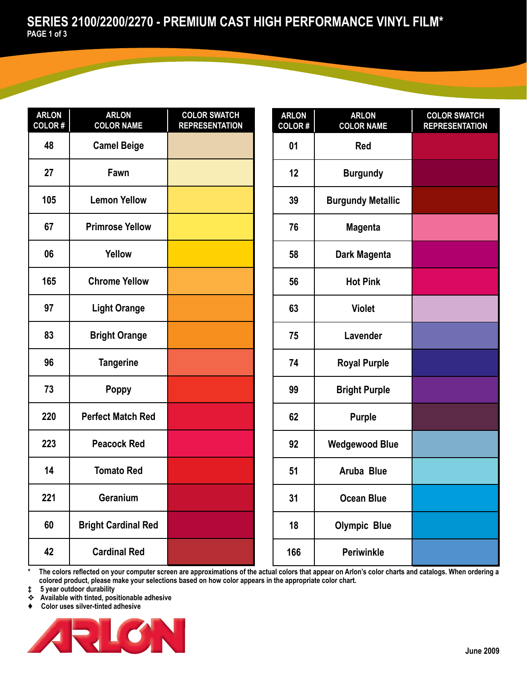| <b>ARLON</b><br><b>COLOR#</b> | <b>ARLON</b><br><b>COLOR NAME</b> | <b>COLOR SWATCH</b><br><b>REPRESENTATION</b> |
|-------------------------------|-----------------------------------|----------------------------------------------|
| 48                            | <b>Camel Beige</b>                |                                              |
| 27                            | Fawn                              |                                              |
| 105                           | <b>Lemon Yellow</b>               |                                              |
| 67                            | <b>Primrose Yellow</b>            |                                              |
| 06                            | Yellow                            |                                              |
| 165                           | <b>Chrome Yellow</b>              |                                              |
| 97                            | <b>Light Orange</b>               |                                              |
| 83                            | <b>Bright Orange</b>              |                                              |
| 96                            | <b>Tangerine</b>                  |                                              |
| 73                            | <b>Poppy</b>                      |                                              |
| 220                           | <b>Perfect Match Red</b>          |                                              |
| 223                           | <b>Peacock Red</b>                |                                              |
| 14                            | <b>Tomato Red</b>                 |                                              |
| 221                           | Geranium                          |                                              |
| 60                            | <b>Bright Cardinal Red</b>        |                                              |
| 42                            | <b>Cardinal Red</b>               |                                              |

| <b>ARLON</b><br>COLOR# | <b>ARLON</b><br><b>COLOR NAME</b> | <b>COLOR SWATCH</b><br><b>REPRESENTATION</b> |
|------------------------|-----------------------------------|----------------------------------------------|
| 01                     | Red                               |                                              |
| 12                     | <b>Burgundy</b>                   |                                              |
| 39                     | <b>Burgundy Metallic</b>          |                                              |
| 76                     | <b>Magenta</b>                    |                                              |
| 58                     | Dark Magenta                      |                                              |
| 56                     | <b>Hot Pink</b>                   |                                              |
| 63                     | <b>Violet</b>                     |                                              |
| 75                     | Lavender                          |                                              |
| 74                     | <b>Royal Purple</b>               |                                              |
| 99                     | <b>Bright Purple</b>              |                                              |
| 62                     | <b>Purple</b>                     |                                              |
| 92                     | <b>Wedgewood Blue</b>             |                                              |
| 51                     | Aruba Blue                        |                                              |
| 31                     | <b>Ocean Blue</b>                 |                                              |
| 18                     | <b>Olympic Blue</b>               |                                              |
| 166                    | <b>Periwinkle</b>                 |                                              |

The colors reflected on your computer screen are approximations of the actual colors that appear on Arlon's color charts and catalogs. When ordering a **colored product, please make your selections based on how color appears in the appropriate color chart.**

**‡ 5 year outdoor durability**

❖ **Available with tinted, positionable adhesive**

♦ **Color uses silver-tinted adhesive**

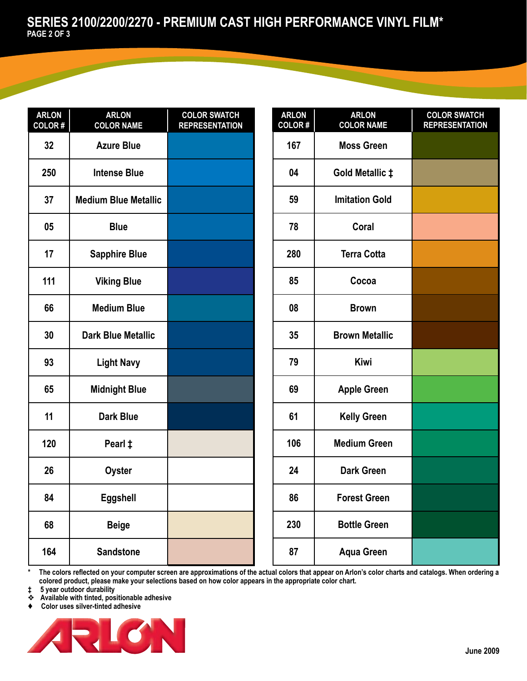| <b>ARLON</b><br><b>COLOR#</b> | <b>ARLON</b><br><b>COLOR NAME</b> | <b>COLOR SWATCH</b><br><b>REPRESENTATION</b> |
|-------------------------------|-----------------------------------|----------------------------------------------|
| 32                            | <b>Azure Blue</b>                 |                                              |
| 250                           | <b>Intense Blue</b>               |                                              |
| 37                            | <b>Medium Blue Metallic</b>       |                                              |
| 05                            | <b>Blue</b>                       |                                              |
| 17                            | <b>Sapphire Blue</b>              |                                              |
| 111                           | <b>Viking Blue</b>                |                                              |
| 66                            | <b>Medium Blue</b>                |                                              |
| 30                            | <b>Dark Blue Metallic</b>         |                                              |
| 93                            | <b>Light Navy</b>                 |                                              |
| 65                            | <b>Midnight Blue</b>              |                                              |
| 11                            | <b>Dark Blue</b>                  |                                              |
| 120                           | Pearl ‡                           |                                              |
| 26                            | <b>Oyster</b>                     |                                              |
| 84                            | <b>Eggshell</b>                   |                                              |
| 68                            | <b>Beige</b>                      |                                              |
| 164                           | <b>Sandstone</b>                  |                                              |

| <b>ARLON</b><br>COLOR# | <b>ARLON</b><br><b>COLOR NAME</b> | <b>COLOR SWATCH</b><br><b>REPRESENTATION</b> |
|------------------------|-----------------------------------|----------------------------------------------|
| 167                    | <b>Moss Green</b>                 |                                              |
| 04                     | Gold Metallic ‡                   |                                              |
| 59                     | <b>Imitation Gold</b>             |                                              |
| 78                     | Coral                             |                                              |
| 280                    | <b>Terra Cotta</b>                |                                              |
| 85                     | Cocoa                             |                                              |
| 08                     | <b>Brown</b>                      |                                              |
| 35                     | <b>Brown Metallic</b>             |                                              |
| 79                     | <b>Kiwi</b>                       |                                              |
| 69                     | <b>Apple Green</b>                |                                              |
| 61                     | <b>Kelly Green</b>                |                                              |
| 106                    | <b>Medium Green</b>               |                                              |
| 24                     | <b>Dark Green</b>                 |                                              |
| 86                     | <b>Forest Green</b>               |                                              |
| 230                    | <b>Bottle Green</b>               |                                              |
| 87                     | <b>Aqua Green</b>                 |                                              |

The colors reflected on your computer screen are approximations of the actual colors that appear on Arlon's color charts and catalogs. When ordering a **colored product, please make your selections based on how color appears in the appropriate color chart.**

**‡ 5 year outdoor durability**

❖ **Available with tinted, positionable adhesive**

♦ **Color uses silver-tinted adhesive**